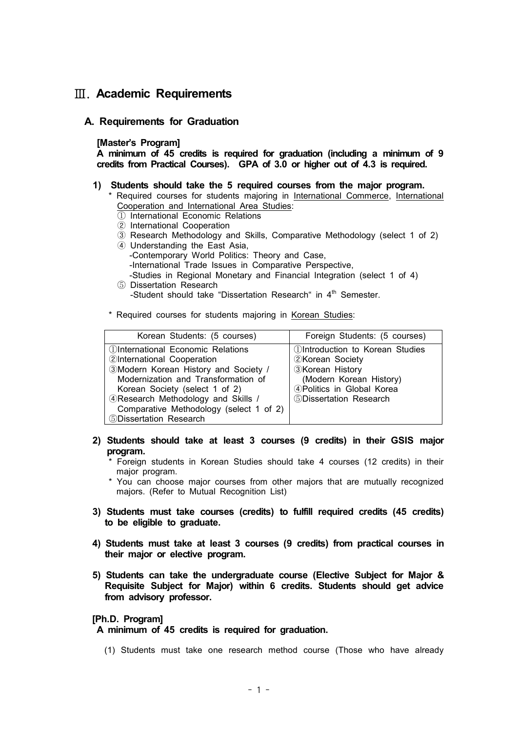## Ⅲ. **Academic Requirements**

## **A. Requirements for Graduation**

## **[Master's Program]**

**A minimum of 45 credits is required for graduation (including a minimum of 9 credits from Practical Courses). GPA of 3.0 or higher out of 4.3 is required.**

- **1) Students should take the 5 required courses from the major program.** 
	- \* Required courses for students majoring in International Commerce, International Cooperation and International Area Studies:
		- ① International Economic Relations
		- ② International Cooperation
		- ③ Research Methodology and Skills, Comparative Methodology (select 1 of 2)
		- ④ Understanding the East Asia,
			- -Contemporary World Politics: Theory and Case,
			- -International Trade Issues in Comparative Perspective,
		- -Studies in Regional Monetary and Financial Integration (select 1 of 4) ⑤ Dissertation Research
	- -Student should take "Dissertation Research" in 4<sup>th</sup> Semester.
	- \* Required courses for students majoring in Korean Studies:

| Korean Students: (5 courses)                    | Foreign Students: (5 courses)                 |
|-------------------------------------------------|-----------------------------------------------|
| <b><i>OInternational Economic Relations</i></b> | <b><i>OIntroduction to Korean Studies</i></b> |
| 2International Cooperation                      | 2Korean Society                               |
| 3Modern Korean History and Society /            | <b>3Korean History</b>                        |
| Modernization and Transformation of             | (Modern Korean History)                       |
| Korean Society (select 1 of 2)                  | 4 Politics in Global Korea                    |
| 4 Research Methodology and Skills /             | 5 Dissertation Research                       |
| Comparative Methodology (select 1 of 2)         |                                               |
| 5Dissertation Research                          |                                               |

- **2) Students should take at least 3 courses (9 credits) in their GSIS major program.** 
	- \* Foreign students in Korean Studies should take 4 courses (12 credits) in their major program.
	- \* You can choose major courses from other majors that are mutually recognized majors. (Refer to Mutual Recognition List)
- **3) Students must take courses (credits) to fulfill required credits (45 credits) to be eligible to graduate.**
- **4) Students must take at least 3 courses (9 credits) from practical courses in their major or elective program.**
- **5) Students can take the undergraduate course (Elective Subject for Major & Requisite Subject for Major) within 6 credits. Students should get advice from advisory professor.**

## **[Ph.D. Program]**

**A minimum of 45 credits is required for graduation.**

(1) Students must take one research method course (Those who have already